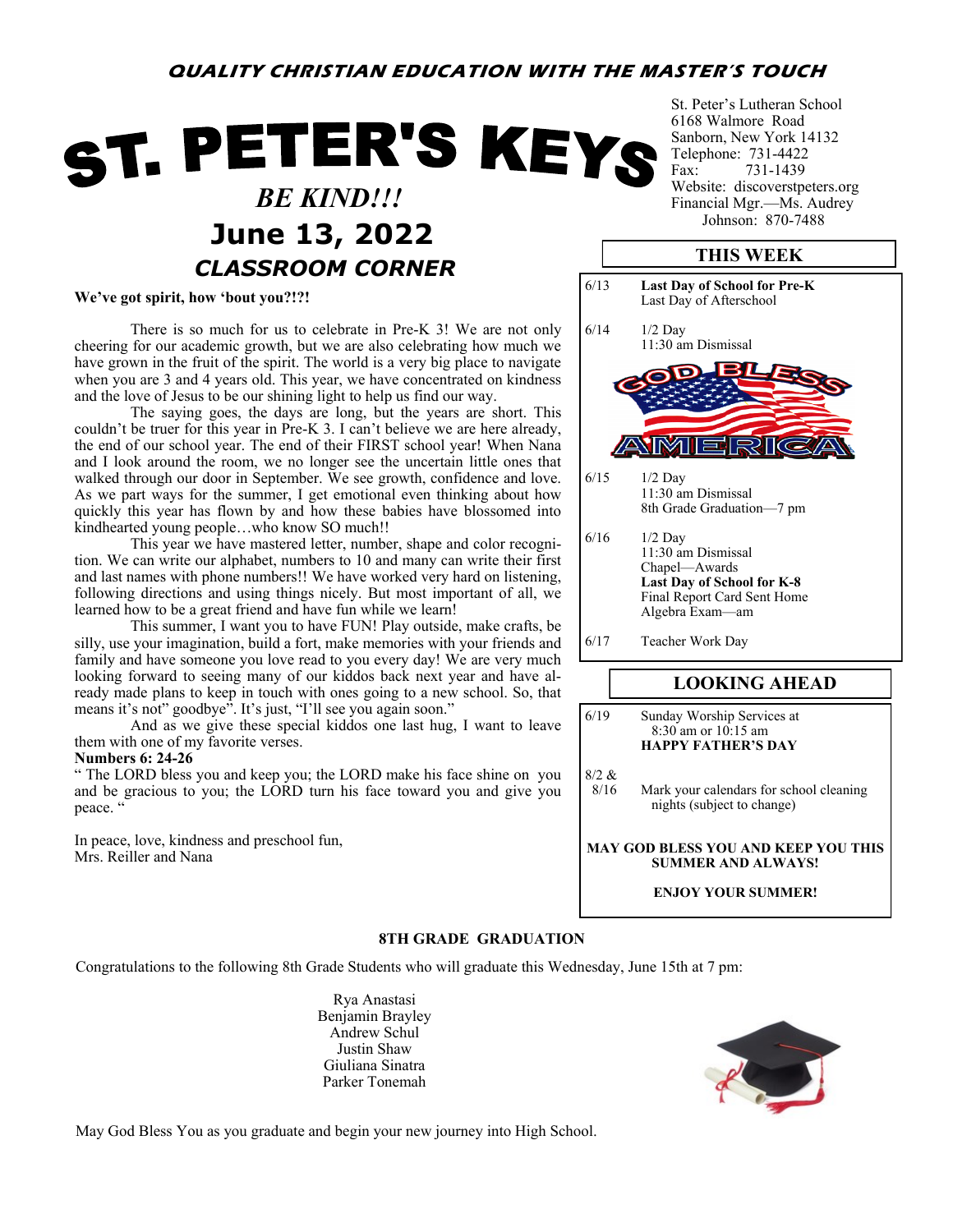# **QUALITY CHRISTIAN EDUCATION WITH THE MASTER'S TOUCH**

# ST. PETER'S KEYS  *BE KIND!!!* **June 13, 2022** *Johnson: 870-7488 CLASSROOM CORNER*

**We've got spirit, how 'bout you?!?!**

There is so much for us to celebrate in Pre-K 3! We are not only cheering for our academic growth, but we are also celebrating how much we have grown in the fruit of the spirit. The world is a very big place to navigate when you are 3 and 4 years old. This year, we have concentrated on kindness and the love of Jesus to be our shining light to help us find our way.

The saying goes, the days are long, but the years are short. This couldn't be truer for this year in Pre-K 3. I can't believe we are here already, the end of our school year. The end of their FIRST school year! When Nana and I look around the room, we no longer see the uncertain little ones that walked through our door in September. We see growth, confidence and love. As we part ways for the summer, I get emotional even thinking about how quickly this year has flown by and how these babies have blossomed into kindhearted young people…who know SO much!!

This year we have mastered letter, number, shape and color recognition. We can write our alphabet, numbers to 10 and many can write their first and last names with phone numbers!! We have worked very hard on listening, following directions and using things nicely. But most important of all, we learned how to be a great friend and have fun while we learn!

This summer, I want you to have FUN! Play outside, make crafts, be silly, use your imagination, build a fort, make memories with your friends and family and have someone you love read to you every day! We are very much looking forward to seeing many of our kiddos back next year and have already made plans to keep in touch with ones going to a new school. So, that means it's not" goodbye". It's just, "I'll see you again soon."

And as we give these special kiddos one last hug, I want to leave them with one of my favorite verses.

#### **Numbers 6: 24-26**

" The LORD bless you and keep you; the LORD make his face shine on you and be gracious to you; the LORD turn his face toward you and give you peace.

In peace, love, kindness and preschool fun, Mrs. Reiller and Nana

St. Peter's Lutheran School 6168 Walmore Road Sanborn, New York 14132 Telephone: 731-4422 Fax: 731-1439 Website: discoverstpeters.org Financial Mgr.—Ms. Audrey

# **THIS WEEK**



8/2 & 8/16 Mark your calendars for school cleaning nights (subject to change)

#### **MAY GOD BLESS YOU AND KEEP YOU THIS SUMMER AND ALWAYS!**

#### **ENJOY YOUR SUMMER!**

#### **8TH GRADE GRADUATION**

Congratulations to the following 8th Grade Students who will graduate this Wednesday, June 15th at 7 pm:

Rya Anastasi Benjamin Brayley Andrew Schul Justin Shaw Giuliana Sinatra Parker Tonemah



May God Bless You as you graduate and begin your new journey into High School.